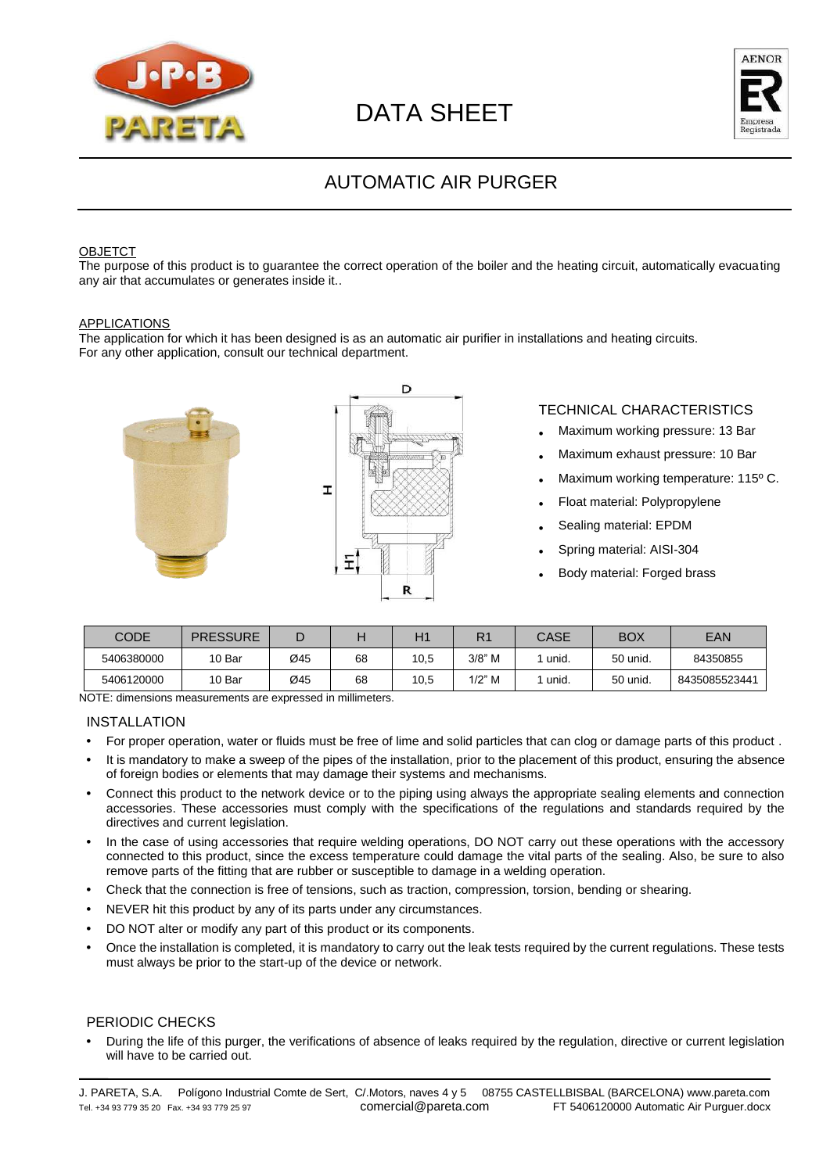



## AUTOMATIC AIR PURGER

#### OBJETCT

The purpose of this product is to guarantee the correct operation of the boiler and the heating circuit, automatically evacuating any air that accumulates or generates inside it..

#### APPLICATIONS

The application for which it has been designed is as an automatic air purifier in installations and heating circuits. For any other application, consult our technical department.



### TECHNICAL CHARACTERISTICS

- **•** Maximum working pressure: 13 Bar
- **•** Maximum exhaust pressure: 10 Bar
- **•** Maximum working temperature: 115º C.
- **•** Float material: Polypropylene
- **•** Sealing material: EPDM
- **•** Spring material: AISI-304
- **•** Body material: Forged brass

| CODE       | <b>PRESSURE</b> | −   |    |      | R <sub>1</sub> | CASE  | <b>BOX</b> | EAN           |
|------------|-----------------|-----|----|------|----------------|-------|------------|---------------|
| 5406380000 | 10 Bar          | Ø45 | 68 | 10,5 | $3/8"$ M       | unid. | 50 unid.   | 84350855      |
| 5406120000 | 10 Bar          | Ø45 | 68 | 10,5 | $1/2$ " M      | unid. | 50 unid.   | 8435085523441 |

NOTE: dimensions measurements are expressed in millimeters.

#### INSTALLATION

- **•** For proper operation, water or fluids must be free of lime and solid particles that can clog or damage parts of this product .
- **•** It is mandatory to make a sweep of the pipes of the installation, prior to the placement of this product, ensuring the absence of foreign bodies or elements that may damage their systems and mechanisms.
- **•** Connect this product to the network device or to the piping using always the appropriate sealing elements and connection accessories. These accessories must comply with the specifications of the regulations and standards required by the directives and current legislation.
- **•** In the case of using accessories that require welding operations, DO NOT carry out these operations with the accessory connected to this product, since the excess temperature could damage the vital parts of the sealing. Also, be sure to also remove parts of the fitting that are rubber or susceptible to damage in a welding operation.
- **•** Check that the connection is free of tensions, such as traction, compression, torsion, bending or shearing.
- **•** NEVER hit this product by any of its parts under any circumstances.
- **•** DO NOT alter or modify any part of this product or its components.
- **•** Once the installation is completed, it is mandatory to carry out the leak tests required by the current regulations. These tests must always be prior to the start-up of the device or network.

#### PERIODIC CHECKS

**•** During the life of this purger, the verifications of absence of leaks required by the regulation, directive or current legislation will have to be carried out.